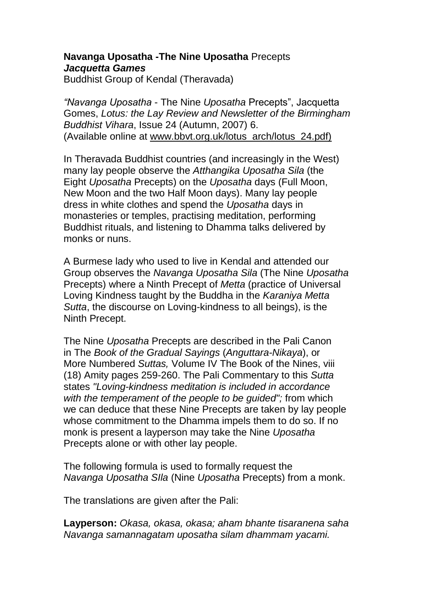## **Navanga Uposatha -The Nine Uposatha** Precepts *Jacquetta Games*

Buddhist Group of Kendal (Theravada)

*"Navanga Uposatha* - The Nine *Uposatha* Precepts", Jacquetta Gomes, *Lotus: the Lay Review and Newsletter of the Birmingham Buddhist Vihara*, Issue 24 (Autumn, 2007) 6. (Available online at www.bbvt.org.uk/lotus\_arch/lotus\_24.pdf)

In Theravada Buddhist countries (and increasingly in the West) many lay people observe the *Atthangika Uposatha Sila* (the Eight *Uposatha* Precepts) on the *Uposatha* days (Full Moon, New Moon and the two Half Moon days). Many lay people dress in white clothes and spend the *Uposatha* days in monasteries or temples, practising meditation, performing Buddhist rituals, and listening to Dhamma talks delivered by monks or nuns.

A Burmese lady who used to live in Kendal and attended our Group observes the *Navanga Uposatha Sila* (The Nine *Uposatha* Precepts) where a Ninth Precept of *Metta* (practice of Universal Loving Kindness taught by the Buddha in the *Karaniya Metta Sutta*, the discourse on Loving-kindness to all beings), is the Ninth Precept.

The Nine *Uposatha* Precepts are described in the Pali Canon in The *Book of the Gradual Sayings* (*Anguttara-Nikaya*), or More Numbered *Suttas,* Volume IV The Book of the Nines, viii (18) Amity pages 259-260. The Pali Commentary to this *Sutta* states *"Loving-kindness meditation is included in accordance with the temperament of the people to be guided";* from which we can deduce that these Nine Precepts are taken by lay people whose commitment to the Dhamma impels them to do so. If no monk is present a layperson may take the Nine *Uposatha* Precepts alone or with other lay people.

The following formula is used to formally request the *Navanga Uposatha SIla* (Nine *Uposatha* Precepts) from a monk.

The translations are given after the Pali:

**Layperson:** *Okasa, okasa, okasa; aham bhante tisaranena saha Navanga samannagatam uposatha silam dhammam yacami.*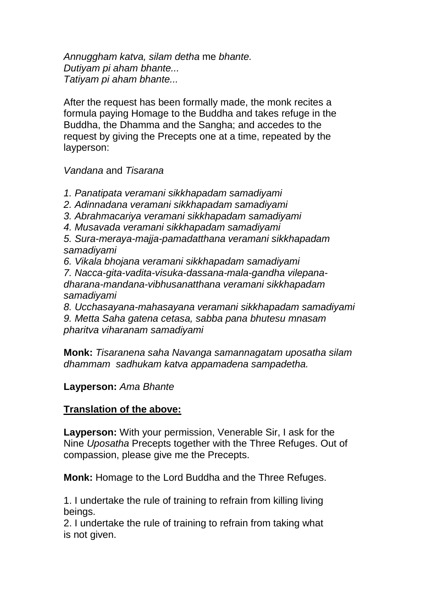*Annuggham katva, silam detha* me *bhante. Dutiyam pi aham bhante... Tatiyam pi aham bhante...*

After the request has been formally made, the monk recites a formula paying Homage to the Buddha and takes refuge in the Buddha, the Dhamma and the Sangha; and accedes to the request by giving the Precepts one at a time, repeated by the layperson:

*Vandana* and *Tisarana*

*1. Panatipata veramani sikkhapadam samadiyami*

*2. Adinnadana veramani sikkhapadam samadiyami*

*3. Abrahmacariya veramani sikkhapadam samadiyami*

*4. Musavada veramani sikkhapadam samadiyami*

*5. Sura-meraya-majja-pamadatthana veramani sikkhapadam samadiyami*

*6. Vikala bhojana veramani sikkhapadam samadiyami*

*7. Nacca-gita-vadita-visuka-dassana-mala-gandha vilepanadharana-mandana-vibhusanatthana veramani sikkhapadam samadiyami*

*8. Ucchasayana-mahasayana veramani sikkhapadam samadiyami*

*9. Metta Saha gatena cetasa, sabba pana bhutesu mnasam pharitva viharanam samadiyami*

**Monk:** *Tisaranena saha Navanga samannagatam uposatha silam dhammam sadhukam katva appamadena sampadetha.*

## **Layperson:** *Ama Bhante*

## **Translation of the above:**

**Layperson:** With your permission, Venerable Sir, I ask for the Nine *Uposatha* Precepts together with the Three Refuges. Out of compassion, please give me the Precepts.

**Monk:** Homage to the Lord Buddha and the Three Refuges.

1. I undertake the rule of training to refrain from killing living beings.

2. I undertake the rule of training to refrain from taking what is not given.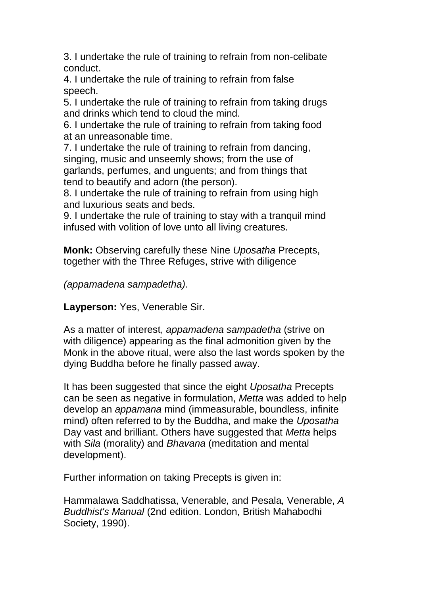3. I undertake the rule of training to refrain from non-celibate conduct.

4. I undertake the rule of training to refrain from false speech.

5. I undertake the rule of training to refrain from taking drugs and drinks which tend to cloud the mind.

6. I undertake the rule of training to refrain from taking food at an unreasonable time.

7. I undertake the rule of training to refrain from dancing, singing, music and unseemly shows; from the use of garlands, perfumes, and unguents; and from things that tend to beautify and adorn (the person).

8. I undertake the rule of training to refrain from using high and luxurious seats and beds.

9. I undertake the rule of training to stay with a tranquil mind infused with volition of love unto all living creatures.

**Monk:** Observing carefully these Nine *Uposatha* Precepts, together with the Three Refuges, strive with diligence

*(appamadena sampadetha).*

**Layperson:** Yes, Venerable Sir.

As a matter of interest, *appamadena sampadetha* (strive on with diligence) appearing as the final admonition given by the Monk in the above ritual, were also the last words spoken by the dying Buddha before he finally passed away.

It has been suggested that since the eight *Uposatha* Precepts can be seen as negative in formulation, *Metta* was added to help develop an *appamana* mind (immeasurable, boundless, infinite mind) often referred to by the Buddha, and make the *Uposatha* Day vast and brilliant. Others have suggested that *Metta* helps with *Sila* (morality) and *Bhavana* (meditation and mental development).

Further information on taking Precepts is given in:

Hammalawa Saddhatissa, Venerable*,* and Pesala*,* Venerable, *A Buddhist's Manual* (2nd edition. London, British Mahabodhi Society, 1990).